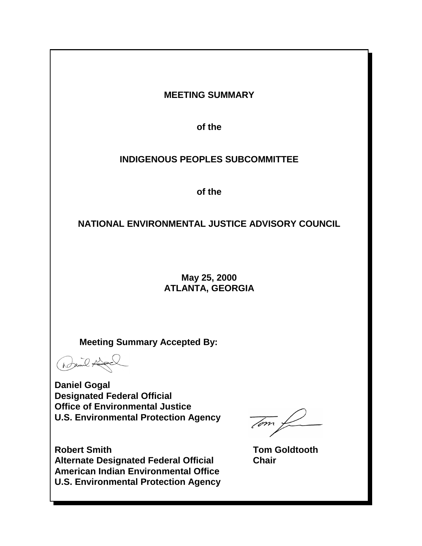# **MEETING SUMMARY**

**of the**

# **INDIGENOUS PEOPLES SUBCOMMITTEE**

**of the**

# **NATIONAL ENVIRONMENTAL JUSTICE ADVISORY COUNCIL**

# **May 25, 2000 ATLANTA, GEORGIA**

**Meeting Summary Accepted By:** 

Bail Hel

**Daniel Gogal Designated Federal Official Office of Environmental Justice U.S. Environmental Protection Agency** 

**Robert Smith Contract Contract Contract Contract Contract Contract Contract Contract Contract Contract Contract Contract Contract Contract Contract Contract Contract Contract Contract Contract Contract Contract Contract C Alternate Designated Federal Official Chair American Indian Environmental Office U.S. Environmental Protection Agency**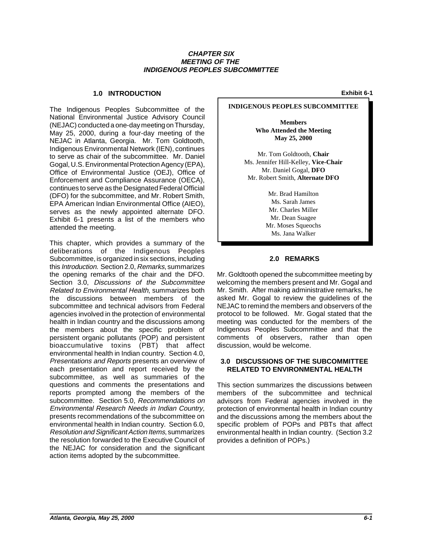## **CHAPTER SIX MEETING OF THE INDIGENOUS PEOPLES SUBCOMMITTEE**

## **1.0 INTRODUCTION Exhibit 6-1**

The Indigenous Peoples Subcommittee of the National Environmental Justice Advisory Council (NEJAC) conducted a one-day meeting on Thursday, May 25, 2000, during a four-day meeting of the NEJAC in Atlanta, Georgia. Mr. Tom Goldtooth, Indigenous Environmental Network (IEN), continues to serve as chair of the subcommittee. Mr. Daniel Gogal, U.S. Environmental Protection Agency (EPA), Office of Environmental Justice (OEJ), Office of Enforcement and Compliance Assurance (OECA), continues to serve as the Designated Federal Official (DFO) for the subcommittee, and Mr. Robert Smith, EPA American Indian Environmental Office (AIEO), serves as the newly appointed alternate DFO. Exhibit 6-1 presents a list of the members who attended the meeting.

This chapter, which provides a summary of the deliberations of the Indigenous Peoples Subcommittee, is organized in six sections, including this Introduction. Section 2.0, Remarks, summarizes the opening remarks of the chair and the DFO. Section 3.0, Discussions of the Subcommittee Related to Environmental Health, summarizes both the discussions between members of the subcommittee and technical advisors from Federal agencies involved in the protection of environmental health in Indian country and the discussions among the members about the specific problem of persistent organic pollutants (POP) and persistent bioaccumulative toxins (PBT) that affect environmental health in Indian country. Section 4.0, Presentations and Reports presents an overview of each presentation and report received by the subcommittee, as well as summaries of the questions and comments the presentations and reports prompted among the members of the subcommittee. Section 5.0, Recommendations on Environmental Research Needs in Indian Country, presents recommendations of the subcommittee on environmental health in Indian country. Section 6.0, Resolution and Significant Action Items, summarizes the resolution forwarded to the Executive Council of the NEJAC for consideration and the significant action items adopted by the subcommittee.

# **INDIGENOUS PEOPLES SUBCOMMITTEE**

**Members Who Attended the Meeting May 25, 2000**

Mr. Tom Goldtooth, **Chair** Ms. Jennifer Hill-Kelley, **Vice-Chair** Mr. Daniel Gogal, **DFO** Mr. Robert Smith, **Alternate DFO**

> Mr. Brad Hamilton Ms. Sarah James Mr. Charles Miller Mr. Dean Suagee Mr. Moses Squeochs Ms. Jana Walker

## **2.0 REMARKS**

Mr. Goldtooth opened the subcommittee meeting by welcoming the members present and Mr. Gogal and Mr. Smith. After making administrative remarks, he asked Mr. Gogal to review the guidelines of the NEJAC to remind the members and observers of the protocol to be followed. Mr. Gogal stated that the meeting was conducted for the members of the Indigenous Peoples Subcommittee and that the comments of observers, rather than open discussion, would be welcome.

## **3.0 DISCUSSIONS OF THE SUBCOMMITTEE RELATED TO ENVIRONMENTAL HEALTH**

This section summarizes the discussions between members of the subcommittee and technical advisors from Federal agencies involved in the protection of environmental health in Indian country and the discussions among the members about the specific problem of POPs and PBTs that affect environmental health in Indian country. (Section 3.2 provides a definition of POPs.)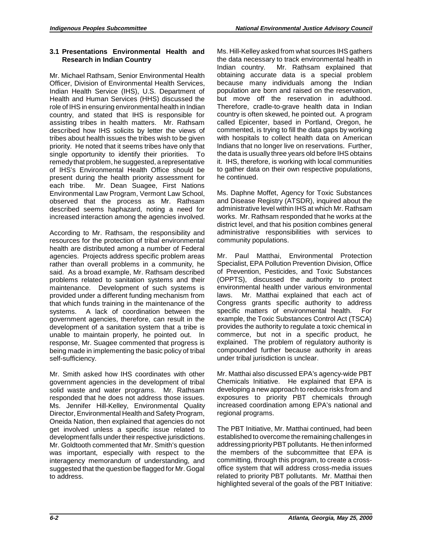# **3.1 Presentations Environmental Health and Research in Indian Country**

Mr. Michael Rathsam, Senior Environmental Health Officer, Division of Environmental Health Services, Indian Health Service (IHS), U.S. Department of Health and Human Services (HHS) discussed the role of IHS in ensuring environmental health in Indian country, and stated that IHS is responsible for assisting tribes in health matters. Mr. Rathsam described how IHS solicits by letter the views of tribes about health issues the tribes wish to be given priority. He noted that it seems tribes have only that single opportunity to identify their priorities. To remedy that problem, he suggested, a representative of IHS's Environmental Health Office should be present during the health priority assessment for each tribe. Mr. Dean Suagee, First Nations Environmental Law Program, Vermont Law School, observed that the process as Mr. Rathsam described seems haphazard, noting a need for increased interaction among the agencies involved.

 agencies. Projects address specific problem areas According to Mr. Rathsam, the responsibility and resources for the protection of tribal environmental health are distributed among a number of Federal rather than overall problems in a community, he said. As a broad example, Mr. Rathsam described problems related to sanitation systems and their maintenance. Development of such systems is provided under a different funding mechanism from that which funds training in the maintenance of the systems. A lack of coordination between the government agencies, therefore, can result in the development of a sanitation system that a tribe is unable to maintain properly, he pointed out. In response, Mr. Suagee commented that progress is being made in implementing the basic policy of tribal self-sufficiency.

Mr. Smith asked how IHS coordinates with other government agencies in the development of tribal solid waste and water programs. Mr. Rathsam responded that he does not address those issues. Ms. Jennifer Hill-Kelley, Environmental Quality Director, Environmental Health and Safety Program, Oneida Nation, then explained that agencies do not get involved unless a specific issue related to development falls under their respective jurisdictions. Mr. Goldtooth commented that Mr. Smith's question was important, especially with respect to the interagency memorandum of understanding, and suggested that the question be flagged for Mr. Gogal to address.

Ms. Hill-Kelley asked from what sources IHS gathers the data necessary to track environmental health in Indian country. Mr. Rathsam explained that obtaining accurate data is a special problem because many individuals among the Indian population are born and raised on the reservation, but move off the reservation in adulthood. Therefore, cradle-to-grave health data in Indian country is often skewed, he pointed out. A program called Epicenter, based in Portland, Oregon, he commented, is trying to fill the data gaps by working with hospitals to collect health data on American Indians that no longer live on reservations. Further, the data is usually three years old before IHS obtains it. IHS, therefore, is working with local communities to gather data on their own respective populations, he continued.

 works. Mr. Rathsam responded that he works at the Ms. Daphne Moffet, Agency for Toxic Substances and Disease Registry (ATSDR), inquired about the administrative level within IHS at which Mr. Rathsam district level, and that his position combines general administrative responsibilities with services to community populations.

Mr. Paul Matthai, Environmental Protection Specialist, EPA Pollution Prevention Division, Office of Prevention, Pesticides, and Toxic Substances (OPPTS), discussed the authority to protect environmental health under various environmental laws. Mr. Matthai explained that each act of Congress grants specific authority to address specific matters of environmental health. For example, the Toxic Substances Control Act (TSCA) provides the authority to regulate a toxic chemical in commerce, but not in a specific product, he explained. The problem of regulatory authority is compounded further because authority in areas under tribal jurisdiction is unclear.

Mr. Matthai also discussed EPA's agency-wide PBT Chemicals Initiative. He explained that EPA is developing a new approach to reduce risks from and exposures to priority PBT chemicals through increased coordination among EPA's national and regional programs.

The PBT Initiative, Mr. Matthai continued, had been established to overcome the remaining challenges in addressing priority PBT pollutants. He then informed the members of the subcommittee that EPA is committing, through this program, to create a crossoffice system that will address cross-media issues related to priority PBT pollutants. Mr. Matthai then highlighted several of the goals of the PBT Initiative: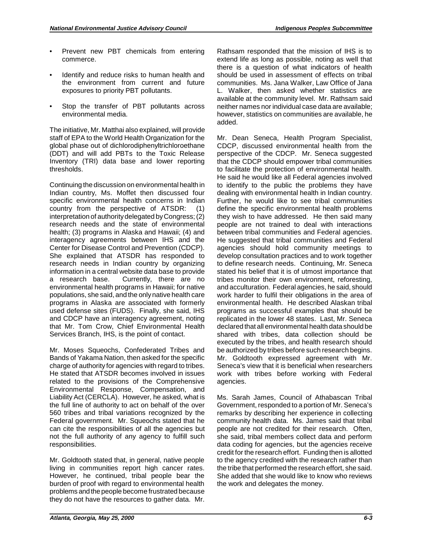- Prevent new PBT chemicals from entering commerce.
- Identify and reduce risks to human health and the environment from current and future exposures to priority PBT pollutants.
- • Stop the transfer of PBT pollutants across environmental media.

The initiative, Mr. Matthai also explained, will provide staff of EPA to the World Health Organization for the global phase out of dichlorodiphenyltrichloroethane (DDT) and will add PBTs to the Toxic Release Inventory (TRI) data base and lower reporting thresholds.

Continuing the discussion on environmental health in Indian country, Ms. Moffet then discussed four specific environmental health concerns in Indian country from the perspective of ATSDR: (1) interpretation of authority delegated by Congress; (2) research needs and the state of environmental health; (3) programs in Alaska and Hawaii; (4) and interagency agreements between IHS and the Center for Disease Control and Prevention (CDCP). She explained that ATSDR has responded to research needs in Indian country by organizing information in a central website data base to provide a research base. Currently, there are no environmental health programs in Hawaii; for native populations, she said, and the only native health care programs in Alaska are associated with formerly used defense sites (FUDS). Finally, she said, IHS and CDCP have an interagency agreement, noting that Mr. Tom Crow, Chief Environmental Health Services Branch, IHS, is the point of contact.

 charge of authority for agencies with regard to tribes. Liability Act (CERCLA). However, he asked, what is Mr. Moses Squeochs, Confederated Tribes and Bands of Yakama Nation, then asked for the specific He stated that ATSDR becomes involved in issues related to the provisions of the Comprehensive Environmental Response, Compensation, and the full line of authority to act on behalf of the over 560 tribes and tribal variations recognized by the Federal government. Mr. Squeochs stated that he can cite the responsibilities of all the agencies but not the full authority of any agency to fulfill such responsibilities.

Mr. Goldtooth stated that, in general, native people living in communities report high cancer rates. However, he continued, tribal people bear the burden of proof with regard to environmental health problems and the people become frustrated because they do not have the resources to gather data. Mr.

 extend life as long as possible, noting as well that there is a question of what indicators of health Rathsam responded that the mission of IHS is to should be used in assessment of effects on tribal communities. Ms. Jana Walker, Law Office of Jana L. Walker, then asked whether statistics are available at the community level. Mr. Rathsam said neither names nor individual case data are available; however, statistics on communities are available, he added.

Mr. Dean Seneca, Health Program Specialist, CDCP, discussed environmental health from the perspective of the CDCP. Mr. Seneca suggested that the CDCP should empower tribal communities to facilitate the protection of environmental health. He said he would like all Federal agencies involved to identify to the public the problems they have dealing with environmental health in Indian country. Further, he would like to see tribal communities define the specific environmental health problems they wish to have addressed. He then said many people are not trained to deal with interactions between tribal communities and Federal agencies. He suggested that tribal communities and Federal agencies should hold community meetings to develop consultation practices and to work together to define research needs. Continuing, Mr. Seneca stated his belief that it is of utmost importance that tribes monitor their own environment, reforesting, and acculturation. Federal agencies, he said, should work harder to fulfil their obligations in the area of environmental health. He described Alaskan tribal programs as successful examples that should be replicated in the lower 48 states. Last, Mr. Seneca declared that all environmental health data should be shared with tribes, data collection should be executed by the tribes, and health research should be authorized by tribes before such research begins. Mr. Goldtooth expressed agreement with Mr. Seneca's view that it is beneficial when researchers work with tribes before working with Federal agencies.

 data coding for agencies, but the agencies receive Ms. Sarah James, Council of Athabascan Tribal Government, responded to a portion of Mr. Seneca's remarks by describing her experience in collecting community health data. Ms. James said that tribal people are not credited for their research. Often, she said, tribal members collect data and perform credit for the research effort. Funding then is allotted to the agency credited with the research rather than the tribe that performed the research effort, she said. She added that she would like to know who reviews the work and delegates the money.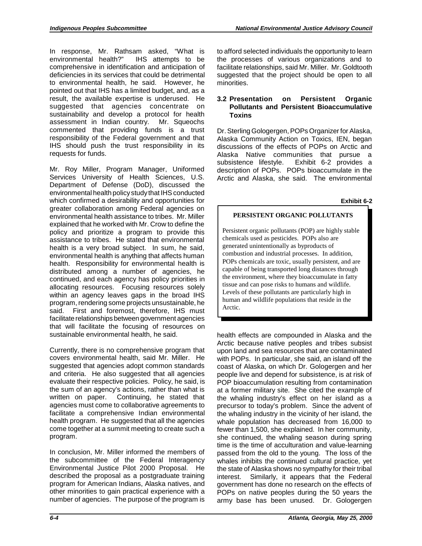In response, Mr. Rathsam asked, "What is environmental health?" IHS attempts to be comprehensive in identification and anticipation of deficiencies in its services that could be detrimental to environmental health, he said. However, he pointed out that IHS has a limited budget, and, as a result, the available expertise is underused. He suggested that agencies concentrate on sustainability and develop a protocol for health assessment in Indian country. Mr. Squeochs commented that providing funds is a trust responsibility of the Federal government and that IHS should push the trust responsibility in its requests for funds.

Mr. Roy Miller, Program Manager, Uniformed Services University of Health Sciences, U.S. Department of Defense (DoD), discussed the environmental health policy study that IHS conducted which confirmed a desirability and opportunities for greater collaboration among Federal agencies on environmental health assistance to tribes. Mr. Miller explained that he worked with Mr. Crow to define the policy and prioritize a program to provide this assistance to tribes. He stated that environmental health is a very broad subject. In sum, he said, environmental health is anything that affects human health. Responsibility for environmental health is distributed among a number of agencies, he continued, and each agency has policy priorities in allocating resources. Focusing resources solely within an agency leaves gaps in the broad IHS program, rendering some projects unsustainable, he said. First and foremost, therefore, IHS must facilitate relationships between government agencies that will facilitate the focusing of resources on sustainable environmental health, he said.

Currently, there is no comprehensive program that covers environmental health, said Mr. Miller. He suggested that agencies adopt common standards and criteria. He also suggested that all agencies evaluate their respective policies. Policy, he said, is the sum of an agency's actions, rather than what is written on paper. Continuing, he stated that agencies must come to collaborative agreements to facilitate a comprehensive Indian environmental health program. He suggested that all the agencies come together at a summit meeting to create such a program.

In conclusion, Mr. Miller informed the members of the subcommittee of the Federal Interagency Environmental Justice Pilot 2000 Proposal. He described the proposal as a postgraduate training program for American Indians, Alaska natives, and other minorities to gain practical experience with a number of agencies. The purpose of the program is

to afford selected individuals the opportunity to learn the processes of various organizations and to facilitate relationships, said Mr. Miller. Mr. Goldtooth suggested that the project should be open to all minorities.

# **3.2 Presentation on Persistent Organic Pollutants and Persistent Bioaccumulative Toxins**

Dr. Sterling Gologergen, POPs Organizer for Alaska, Alaska Community Action on Toxics, IEN, began discussions of the effects of POPs on Arctic and Alaska Native communities that pursue a subsistence lifestyle. Exhibit 6-2 provides a description of POPs. POPs bioaccumulate in the Arctic and Alaska, she said. The environmental

## **Exhibit 6-2**

# **PERSISTENT ORGANIC POLLUTANTS**

Persistent organic pollutants (POP) are highly stable chemicals used as pesticides. POPs also are generated unintentionally as byproducts of combustion and industrial processes. In addition, POPs chemicals are toxic, usually persistent, and are capable of being transported long distances through the environment, where they bioaccumulate in fatty tissue and can pose risks to humans and wildlife. Levels of these pollutants are particularly high in human and wildlife populations that reside in the Arctic.

 passed from the old to the young. The loss of the POPs on native peoples during the 50 years the health effects are compounded in Alaska and the Arctic because native peoples and tribes subsist upon land and sea resources that are contaminated with POPs. In particular, she said, an island off the coast of Alaska, on which Dr. Gologergen and her people live and depend for subsistence, is at risk of POP bioaccumulation resulting from contamination at a former military site. She cited the example of the whaling industry's effect on her island as a precursor to today's problem. Since the advent of the whaling industry in the vicinity of her island, the whale population has decreased from 16,000 to fewer than 1,500, she explained. In her community, she continued, the whaling season during spring time is the time of acculturation and value-learning whales inhibits the continued cultural practice, yet the state of Alaska shows no sympathy for their tribal interest. Similarly, it appears that the Federal government has done no research on the effects of army base has been unused. Dr. Gologergen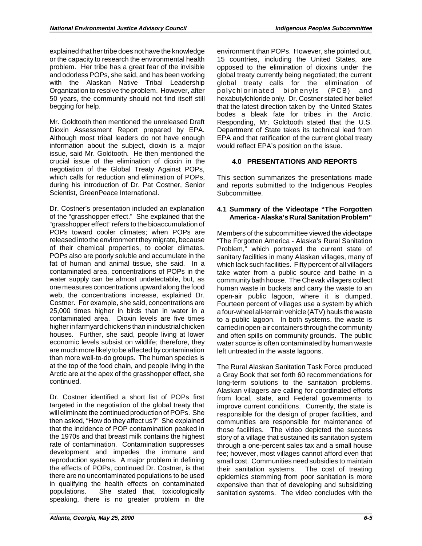explained that her tribe does not have the knowledge or the capacity to research the environmental health problem. Her tribe has a great fear of the invisible and odorless POPs, she said, and has been working with the Alaskan Native Tribal Leadership Organization to resolve the problem. However, after 50 years, the community should not find itself still begging for help.

Mr. Goldtooth then mentioned the unreleased Draft Dioxin Assessment Report prepared by EPA. Although most tribal leaders do not have enough information about the subject, dioxin is a major issue, said Mr. Goldtooth. He then mentioned the crucial issue of the elimination of dioxin in the negotiation of the Global Treaty Against POPs, which calls for reduction and elimination of POPs, during his introduction of Dr. Pat Costner, Senior Scientist, GreenPeace International.

 of the "grasshopper effect." She explained that the Dr. Costner's presentation included an explanation "grasshopper effect" refers to the bioaccumulation of POPs toward cooler climates; when POPs are released into the environment they migrate, because of their chemical properties, to cooler climates. POPs also are poorly soluble and accumulate in the fat of human and animal tissue, she said. In a contaminated area, concentrations of POPs in the water supply can be almost undetectable, but, as one measures concentrations upward along the food web, the concentrations increase, explained Dr. Costner. For example, she said, concentrations are 25,000 times higher in birds than in water in a contaminated area. Dioxin levels are five times higher in farmyard chickens than in industrial chicken houses. Further, she said, people living at lower economic levels subsist on wildlife; therefore, they are much more likelyto be affected by contamination than more well-to-do groups. The human species is at the top of the food chain, and people living in the Arctic are at the apex of the grasshopper effect, she continued.

 the effects of POPs, continued Dr. Costner, is that Dr. Costner identified a short list of POPs first targeted in the negotiation of the global treaty that will eliminate the continued production of POPs. She then asked, "How do they affect us?" She explained that the incidence of POP contamination peaked in the 1970s and that breast milk contains the highest rate of contamination. Contamination suppresses development and impedes the immune and reproduction systems. A major problem in defining there are no uncontaminated populations to be used in qualifying the health effects on contaminated populations. She stated that, toxicologically speaking, there is no greater problem in the

environment than POPs. However, she pointed out, 15 countries, including the United States, are opposed to the elimination of dioxins under the global treaty currently being negotiated; the current global treaty calls for the elimination of polychlorinated biphenyls (PCB) and hexabutylchloride only. Dr. Costner stated her belief that the latest direction taken by the United States bodes a bleak fate for tribes in the Arctic. Responding, Mr. Goldtooth stated that the U.S. Department of State takes its technical lead from EPA and that ratification of the current global treaty would reflect EPA's position on the issue.

# **4.0 PRESENTATIONS AND REPORTS**

This section summarizes the presentations made and reports submitted to the Indigenous Peoples Subcommittee.

# **4.1 Summary of the Videotape "The Forgotten America - Alaska's Rural Sanitation Problem"**

 Members of the subcommittee viewed the videotape Fourteen percent of villages use a system by which "The Forgotten America - Alaska's Rural Sanitation Problem," which portrayed the current state of sanitary facilities in many Alaskan villages, many of which lack such facilities. Fifty percent of all villagers take water from a public source and bathe in a community bath house. The Chevak villagers collect human waste in buckets and carry the waste to an open-air public lagoon, where it is dumped. a four-wheel all-terrain vehicle (ATV) hauls the waste to a public lagoon. In both systems, the waste is carried in open-air containers through the community and often spills on community grounds. The public water source is often contaminated by human waste left untreated in the waste lagoons.

The Rural Alaskan Sanitation Task Force produced a Gray Book that set forth 60 recommendations for long-term solutions to the sanitation problems. Alaskan villagers are calling for coordinated efforts from local, state, and Federal governments to improve current conditions. Currently, the state is responsible for the design of proper facilities, and communities are responsible for maintenance of those facilities. The video depicted the success story of a village that sustained its sanitation system through a one-percent sales tax and a small house fee; however, most villages cannot afford even that small cost. Communities need subsidies to maintain their sanitation systems. The cost of treating epidemics stemming from poor sanitation is more expensive than that of developing and subsidizing sanitation systems. The video concludes with the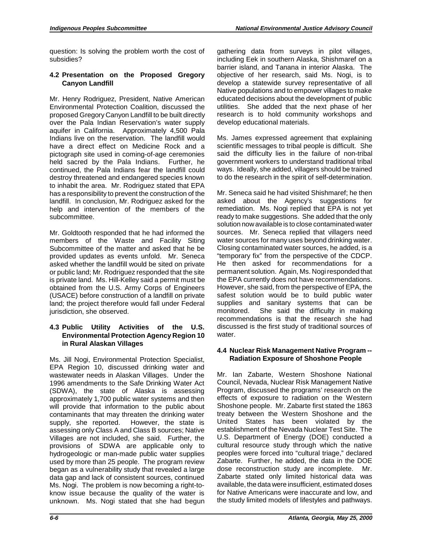question: Is solving the problem worth the cost of subsidies?

## **4.2 Presentation on the Proposed Gregory Canyon Landfill**

Mr. Henry Rodriguez, President, Native American Environmental Protection Coalition, discussed the proposed Gregory Canyon Landfill to be built directly over the Pala Indian Reservation's water supply aquifer in California. Approximately 4,500 Pala Indians live on the reservation. The landfill would have a direct effect on Medicine Rock and a pictograph site used in coming-of-age ceremonies held sacred by the Pala Indians. Further, he continued, the Pala Indians fear the landfill could destroy threatened and endangered species known to inhabit the area. Mr. Rodriguez stated that EPA has a responsibility to prevent the construction of the landfill. In conclusion, Mr. Rodriguez asked for the help and intervention of the members of the subcommittee.

Mr. Goldtooth responded that he had informed the members of the Waste and Facility Siting Subcommittee of the matter and asked that he be provided updates as events unfold. Mr. Seneca asked whether the landfill would be sited on private or public land; Mr. Rodriguez responded that the site is private land. Ms. Hill-Kelley said a permit must be obtained from the U.S. Army Corps of Engineers (USACE) before construction of a landfill on private land; the project therefore would fall under Federal jurisdiction, she observed.

## **4.3 Public Utility Activities of the U.S. Environmental Protection Agency Region 10 in Rural Alaskan Villages**

 1996 amendments to the Safe Drinking Water Act Ms. Jill Nogi, Environmental Protection Specialist, EPA Region 10, discussed drinking water and wastewater needs in Alaskan Villages. Under the (SDWA), the state of Alaska is assessing approximately 1,700 public water systems and then will provide that information to the public about contaminants that may threaten the drinking water supply, she reported. However, the state is assessing only Class A and Class B sources; Native Villages are not included, she said. Further, the provisions of SDWA are applicable only to hydrogeologic or man-made public water supplies used by more than 25 people. The program review began as a vulnerability study that revealed a large data gap and lack of consistent sources, continued Ms. Nogi. The problem is now becoming a right-toknow issue because the quality of the water is unknown. Ms. Nogi stated that she had begun develop educational materials. gathering data from surveys in pilot villages, including Eek in southern Alaska, Shishmaref on a barrier island, and Tanana in interior Alaska. The objective of her research, said Ms. Nogi, is to develop a statewide survey representative of all Native populations and to empower villages to make educated decisions about the development of public utilities. She added that the next phase of her research is to hold community workshops and

Ms. James expressed agreement that explaining scientific messages to tribal people is difficult. She said the difficulty lies in the failure of non-tribal government workers to understand traditional tribal ways. Ideally, she added, villagers should be trained to do the research in the spirit of self-determination.

Mr. Seneca said he had visited Shishmaref; he then asked about the Agency's suggestions for remediation. Ms. Nogi replied that EPA is not yet ready to make suggestions. She added that the only solution now available is to close contaminated water sources. Mr. Seneca replied that villagers need water sources for many uses beyond drinking water. Closing contaminated water sources, he added, is a "temporary fix" from the perspective of the CDCP. He then asked for recommendations for a permanent solution. Again, Ms. Nogi responded that the EPA currently does not have recommendations. However, she said, from the perspective of EPA, the safest solution would be to build public water supplies and sanitary systems that can be monitored. She said the difficulty in making recommendations is that the research she had discussed is the first study of traditional sources of water.

# **4.4 Nuclear Risk Management Native Program -- Radiation Exposure of Shoshone People**

Mr. Ian Zabarte, Western Shoshone National Council, Nevada, Nuclear Risk Management Native Program, discussed the programs' research on the effects of exposure to radiation on the Western Shoshone people. Mr. Zabarte first stated the 1863 treaty between the Western Shoshone and the United States has been violated by the establishment of the Nevada Nuclear Test Site. The U.S. Department of Energy (DOE) conducted a cultural resource study through which the native peoples were forced into "cultural triage," declared Zabarte. Further, he added, the data in the DOE dose reconstruction study are incomplete. Mr. Zabarte stated only limited historical data was available, the data were insufficient, estimated doses for Native Americans were inaccurate and low, and the study limited models of lifestyles and pathways.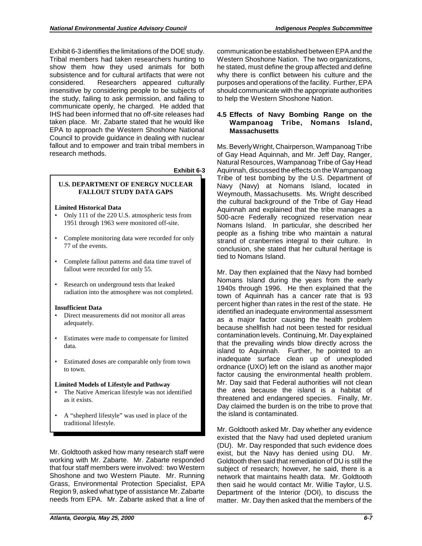Exhibit 6-3 identifies the limitations of the DOE study. Tribal members had taken researchers hunting to show them how they used animals for both subsistence and for cultural artifacts that were not considered. Researchers appeared culturally insensitive by considering people to be subjects of the study, failing to ask permission, and failing to communicate openly, he charged. He added that IHS had been informed that no off-site releases had taken place. Mr. Zabarte stated that he would like EPA to approach the Western Shoshone National Council to provide guidance in dealing with nuclear fallout and to empower and train tribal members in research methods.

#### **Exhibit 6-3**

# **U.S. DEPARTMENT OF ENERGY NUCLEAR FALLOUT STUDY DATA GAPS**

## **Limited Historical Data**

- Only 111 of the 220 U.S. atmospheric tests from 1951 through 1963 were monitored off-site.
- • Complete monitoring data were recorded for only 77 of the events.
- • Complete fallout patterns and data time travel of fallout were recorded for only 55.
- Research on underground tests that leaked radiation into the atmosphere was not completed.

## **Insufficient Data**

- • Direct measurements did not monitor all areas adequately.
- • Estimates were made to compensate for limited data.
- • Estimated doses are comparable only from town to town.

## **Limited Models of Lifestyle and Pathway**

- The Native American lifestyle was not identified as it exists.
- • A "shepherd lifestyle" was used in place of the traditional lifestyle.

 Mr. Goldtooth asked how many research staff were that four staff members were involved: two Western working with Mr. Zabarte. Mr. Zabarte responded Shoshone and two Western Piaute. Mr. Running Grass, Environmental Protection Specialist, EPA Region 9, asked what type of assistance Mr. Zabarte needs from EPA. Mr. Zabarte asked that a line of

 purposes and operations of the facility. Further, EPA communication be established between EPA and the Western Shoshone Nation. The two organizations, he stated, must define the group affected and define why there is conflict between his culture and the should communicate with the appropriate authorities to help the Western Shoshone Nation.

## **4.5 Effects of Navy Bombing Range on the Wampanoag Tribe, Nomans Island, Massachusetts**

Ms. Beverly Wright, Chairperson, Wampanoag Tribe of Gay Head Aquinnah, and Mr. Jeff Day, Ranger, Natural Resources, Wampanoag Tribe of Gay Head Aquinnah, discussed the effects on the Wampanoag Tribe of test bombing by the U.S. Department of Navy (Navy) at Nomans Island, located in Weymouth, Massachusetts. Ms. Wright described the cultural background of the Tribe of Gay Head Aquinnah and explained that the tribe manages a 500-acre Federally recognized reservation near Nomans Island. In particular, she described her people as a fishing tribe who maintain a natural strand of cranberries integral to their culture. In conclusion, she stated that her cultural heritage is tied to Nomans Island.

 inadequate surface clean up of unexploded Mr. Day then explained that the Navy had bombed Nomans Island during the years from the early 1940s through 1996. He then explained that the town of Aquinnah has a cancer rate that is 93 percent higher than rates in the rest of the state. He identified an inadequate environmental assessment as a major factor causing the health problem because shellfish had not been tested for residual contamination levels. Continuing, Mr. Day explained that the prevailing winds blow directly across the island to Aquinnah. Further, he pointed to an ordnance (UXO) left on the island as another major factor causing the environmental health problem. Mr. Day said that Federal authorities will not clean the area because the island is a habitat of threatened and endangered species. Finally, Mr. Day claimed the burden is on the tribe to prove that the island is contaminated.

 matter. Mr. Day then asked that the members of the Mr. Goldtooth asked Mr. Day whether any evidence existed that the Navy had used depleted uranium (DU). Mr. Day responded that such evidence does exist, but the Navy has denied using DU. Mr. Goldtooth then said that remediation of DU is still the subject of research; however, he said, there is a network that maintains health data. Mr. Goldtooth then said he would contact Mr. Willie Taylor, U.S. Department of the Interior (DOI), to discuss the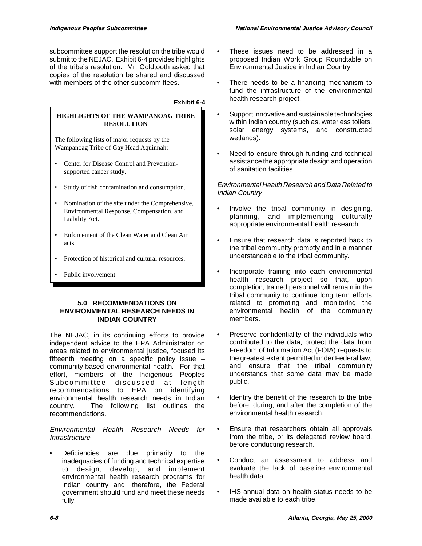subcommittee support the resolution the tribe would submit to the NEJAC. Exhibit 6-4 provides highlights of the tribe's resolution. Mr. Goldtooth asked that copies of the resolution be shared and discussed with members of the other subcommittees.

## **Exhibit 6-4**

## **HIGHLIGHTS OF THE WAMPANOAG TRIBE RESOLUTION**

The following lists of major requests by the Wampanoag Tribe of Gay Head Aquinnah:

- • Center for Disease Control and Preventionsupported cancer study.
- • Study of fish contamination and consumption.
- Nomination of the site under the Comprehensive, Environmental Response, Compensation, and Liability Act.
- • Enforcement of the Clean Water and Clean Air acts.
- Protection of historical and cultural resources.
- Public involvement.

### **5.0 RECOMMENDATIONS ON ENVIRONMENTAL RESEARCH NEEDS IN INDIAN COUNTRY**

 country. The following list outlines the The NEJAC, in its continuing efforts to provide independent advice to the EPA Administrator on areas related to environmental justice, focused its fifteenth meeting on a specific policy issue – community-based environmental health. For that effort, members of the Indigenous Peoples Subcommittee discussed at length recommendations to EPA on identifying environmental health research needs in Indian recommendations.

## Environmental Health Research Needs for **Infrastructure**

Deficiencies are due primarily to the inadequacies of funding and technical expertise to design, develop, and implement environmental health research programs for Indian country and, therefore, the Federal government should fund and meet these needs fully.

- These issues need to be addressed in a proposed Indian Work Group Roundtable on Environmental Justice in Indian Country.
- There needs to be a financing mechanism to fund the infrastructure of the environmental health research project.
- • Support innovative and sustainable technologies within Indian country (such as, waterless toilets, solar energy systems, and constructed wetlands).
- Need to ensure through funding and technical assistance the appropriate design and operation of sanitation facilities.

## Environmental Health Research and Data Related to Indian Country

- Involve the tribal community in designing, planning, and implementing culturally appropriate environmental health research.
- Ensure that research data is reported back to the tribal community promptly and in a manner understandable to the tribal community.
- Incorporate training into each environmental health research project so that, upon completion, trained personnel will remain in the tribal community to continue long term efforts related to promoting and monitoring the environmental health of the community members.
- Preserve confidentiality of the individuals who contributed to the data, protect the data from Freedom of Information Act (FOIA) requests to the greatest extent permitted under Federal law, and ensure that the tribal community understands that some data may be made public.
- Identify the benefit of the research to the tribe before, during, and after the completion of the environmental health research.
- Ensure that researchers obtain all approvals from the tribe, or its delegated review board, before conducting research.
- Conduct an assessment to address and evaluate the lack of baseline environmental health data.
- IHS annual data on health status needs to be made available to each tribe.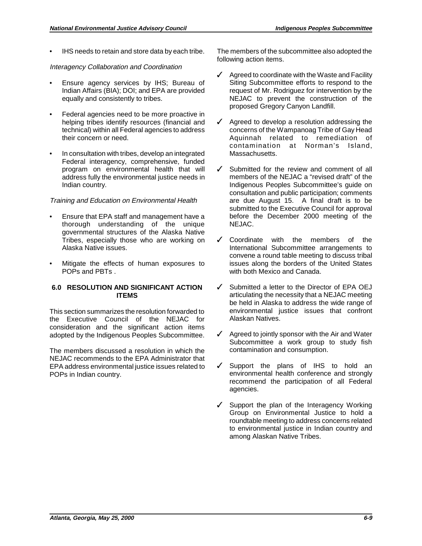IHS needs to retain and store data by each tribe.

## Interagency Collaboration and Coordination

- Ensure agency services by IHS; Bureau of Indian Affairs (BIA); DOI; and EPA are provided equally and consistently to tribes.
- Federal agencies need to be more proactive in helping tribes identify resources (financial and technical) within all Federal agencies to address their concern or need.
- In consultation with tribes, develop an integrated Federal interagency, comprehensive, funded program on environmental health that will address fully the environmental justice needs in Indian country.

## Training and Education on Environmental Health

- Ensure that EPA staff and management have a thorough understanding of the unique governmental structures of the Alaska Native Tribes, especially those who are working on Alaska Native issues.
- Mitigate the effects of human exposures to POPs and PBTs .

## **6.0 RESOLUTION AND SIGNIFICANT ACTION ITEMS**

This section summarizes the resolution forwarded to the Executive Council of the NEJAC for consideration and the significant action items adopted by the Indigenous Peoples Subcommittee.

The members discussed a resolution in which the NEJAC recommends to the EPA Administrator that EPA address environmental justice issues related to POPs in Indian country.

The members of the subcommittee also adopted the following action items.

- $\sqrt{\phantom{a}}$  Agreed to coordinate with the Waste and Facility Siting Subcommittee efforts to respond to the request of Mr. Rodriguez for intervention by the NEJAC to prevent the construction of the proposed Gregory Canyon Landfill.
- $\sqrt{\phantom{a}}$  Agreed to develop a resolution addressing the concerns of the Wampanoag Tribe of Gay Head Aquinnah related to remediation of contamination at Norman's Island, **Massachusetts**
- $\checkmark$  Submitted for the review and comment of all members of the NEJAC a "revised draft" of the Indigenous Peoples Subcommittee's guide on consultation and public participation; comments are due August 15. A final draft is to be submitted to the Executive Council for approval before the December 2000 meeting of the NEJAC.
- $\checkmark$  Coordinate with the members of the International Subcommittee arrangements to convene a round table meeting to discuss tribal issues along the borders of the United States with both Mexico and Canada.
- $\checkmark$  Submitted a letter to the Director of EPA OEJ articulating the necessity that a NEJAC meeting be held in Alaska to address the wide range of environmental justice issues that confront Alaskan Natives.
- $\checkmark$  Agreed to jointly sponsor with the Air and Water Subcommittee a work group to study fish contamination and consumption.
- $\checkmark$  Support the plans of IHS to hold an environmental health conference and strongly recommend the participation of all Federal agencies.
- $\checkmark$  Support the plan of the Interagency Working Group on Environmental Justice to hold a roundtable meeting to address concerns related to environmental justice in Indian country and among Alaskan Native Tribes.